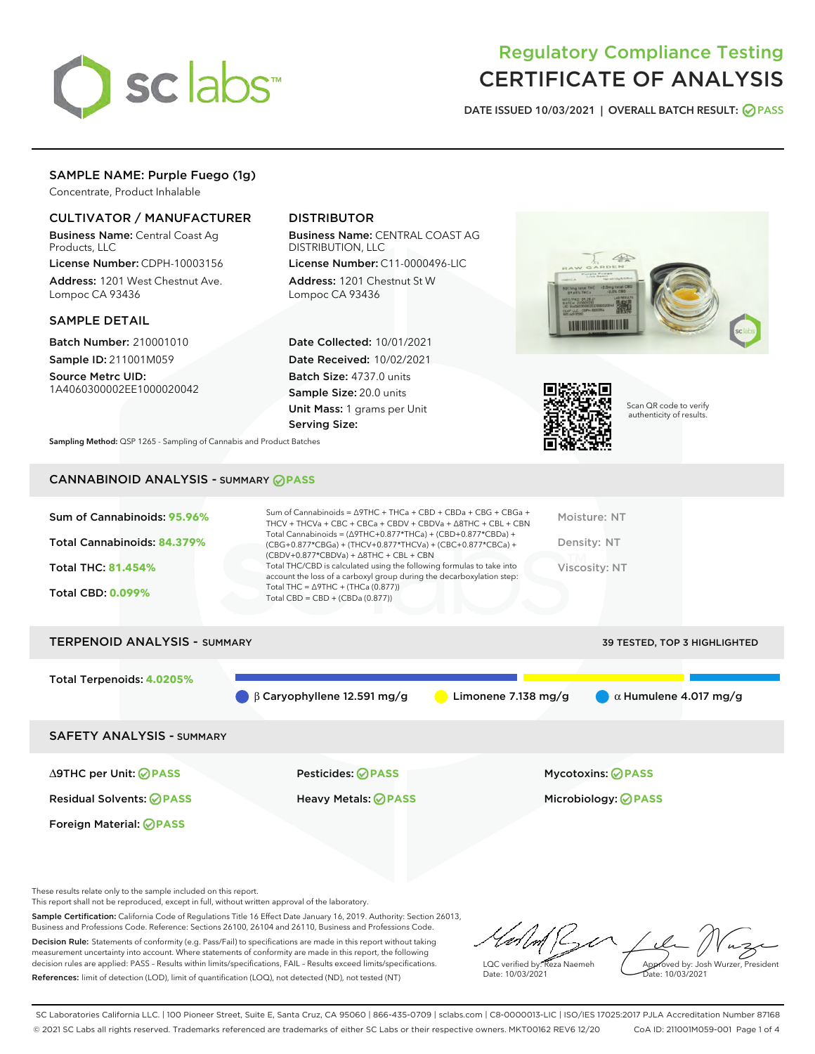

# Regulatory Compliance Testing CERTIFICATE OF ANALYSIS

DATE ISSUED 10/03/2021 | OVERALL BATCH RESULT: @ PASS

# SAMPLE NAME: Purple Fuego (1g)

Concentrate, Product Inhalable

# CULTIVATOR / MANUFACTURER

Business Name: Central Coast Ag Products, LLC

License Number: CDPH-10003156 Address: 1201 West Chestnut Ave. Lompoc CA 93436

### SAMPLE DETAIL

Batch Number: 210001010 Sample ID: 211001M059

Source Metrc UID: 1A4060300002EE1000020042

# DISTRIBUTOR

Business Name: CENTRAL COAST AG DISTRIBUTION, LLC

License Number: C11-0000496-LIC Address: 1201 Chestnut St W Lompoc CA 93436

Date Collected: 10/01/2021 Date Received: 10/02/2021 Batch Size: 4737.0 units Sample Size: 20.0 units Unit Mass: 1 grams per Unit Serving Size:





Scan QR code to verify authenticity of results.

Sampling Method: QSP 1265 - Sampling of Cannabis and Product Batches

# CANNABINOID ANALYSIS - SUMMARY **PASS**

| Sum of Cannabinoids: 95.96%<br>Total Cannabinoids: 84.379%<br><b>Total THC: 81.454%</b><br><b>Total CBD: 0.099%</b> | Sum of Cannabinoids = $\triangle$ 9THC + THCa + CBD + CBDa + CBG + CBGa +<br>THCV + THCVa + CBC + CBCa + CBDV + CBDVa + $\Delta$ 8THC + CBL + CBN<br>Total Cannabinoids = $(\Delta 9THC+0.877*THCa) + (CBD+0.877*CBDa) +$<br>(CBG+0.877*CBGa) + (THCV+0.877*THCVa) + (CBC+0.877*CBCa) +<br>$(CBDV+0.877*CBDVa) + \Delta 8THC + CBL + CBN$<br>Total THC/CBD is calculated using the following formulas to take into<br>account the loss of a carboxyl group during the decarboxylation step:<br>Total THC = $\triangle$ 9THC + (THCa (0.877))<br>Total CBD = $CBD + (CBDa (0.877))$ | Moisture: NT<br>Density: NT<br><b>Viscosity: NT</b> |
|---------------------------------------------------------------------------------------------------------------------|------------------------------------------------------------------------------------------------------------------------------------------------------------------------------------------------------------------------------------------------------------------------------------------------------------------------------------------------------------------------------------------------------------------------------------------------------------------------------------------------------------------------------------------------------------------------------------|-----------------------------------------------------|
| <b>TERPENOID ANALYSIS - SUMMARY</b>                                                                                 |                                                                                                                                                                                                                                                                                                                                                                                                                                                                                                                                                                                    | 39 TESTED, TOP 3 HIGHLIGHTED                        |
| Total Terpenoids: 4.0205%                                                                                           | B Carvophyllene 12.591 mg/g<br>Limonene $7.138$ mg/g                                                                                                                                                                                                                                                                                                                                                                                                                                                                                                                               | $\alpha$ Humulene 4.017 mg/g                        |

SAFETY ANALYSIS - SUMMARY

∆9THC per Unit: **PASS** Pesticides: **PASS** Mycotoxins: **PASS**

Foreign Material: **PASS**

Residual Solvents: **PASS** Heavy Metals: **PASS** Microbiology: **PASS**

These results relate only to the sample included on this report.

This report shall not be reproduced, except in full, without written approval of the laboratory.

Sample Certification: California Code of Regulations Title 16 Effect Date January 16, 2019. Authority: Section 26013, Business and Professions Code. Reference: Sections 26100, 26104 and 26110, Business and Professions Code. Decision Rule: Statements of conformity (e.g. Pass/Fail) to specifications are made in this report without taking measurement uncertainty into account. Where statements of conformity are made in this report, the following

References: limit of detection (LOD), limit of quantification (LOQ), not detected (ND), not tested (NT)

decision rules are applied: PASS – Results within limits/specifications, FAIL – Results exceed limits/specifications.

LQC verified by: Reza Naemeh Date: 10/03/2021 Approved by: Josh Wurzer, President Date: 10/03/2021

SC Laboratories California LLC. | 100 Pioneer Street, Suite E, Santa Cruz, CA 95060 | 866-435-0709 | sclabs.com | C8-0000013-LIC | ISO/IES 17025:2017 PJLA Accreditation Number 87168 © 2021 SC Labs all rights reserved. Trademarks referenced are trademarks of either SC Labs or their respective owners. MKT00162 REV6 12/20 CoA ID: 211001M059-001 Page 1 of 4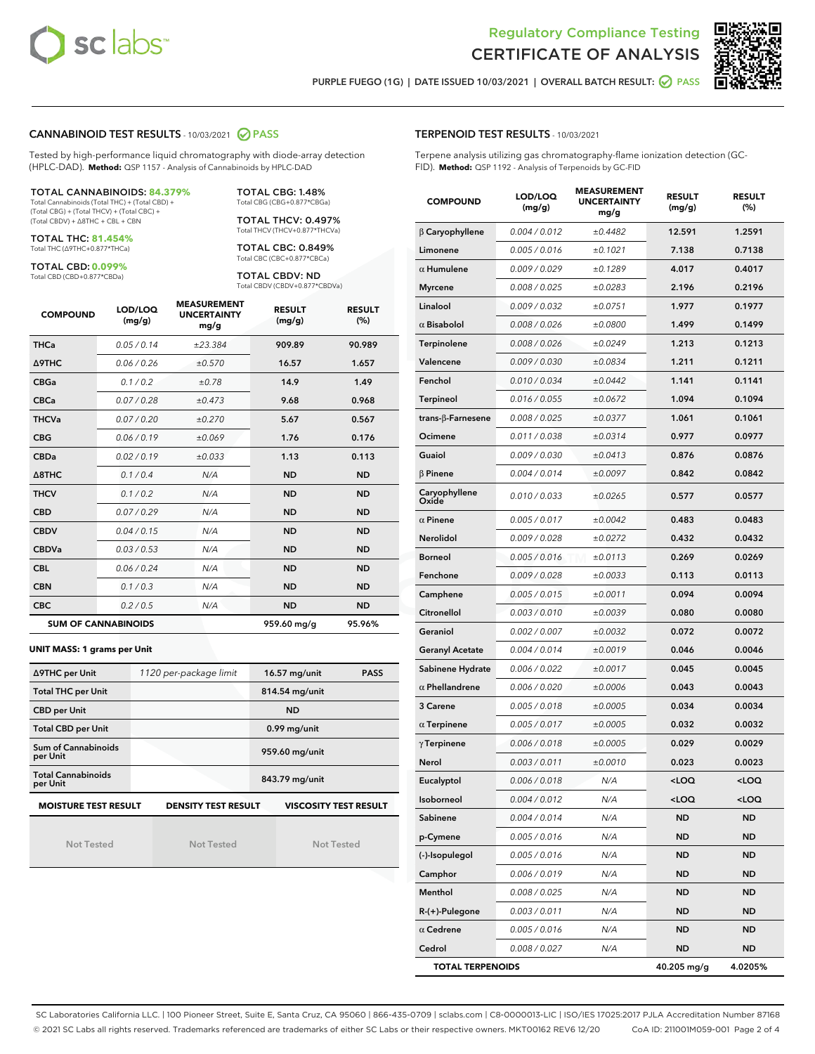



PURPLE FUEGO (1G) | DATE ISSUED 10/03/2021 | OVERALL BATCH RESULT: @ PASS

### CANNABINOID TEST RESULTS - 10/03/2021 2 PASS

Tested by high-performance liquid chromatography with diode-array detection (HPLC-DAD). **Method:** QSP 1157 - Analysis of Cannabinoids by HPLC-DAD

#### TOTAL CANNABINOIDS: **84.379%**

Total Cannabinoids (Total THC) + (Total CBD) + (Total CBG) + (Total THCV) + (Total CBC) + (Total CBDV) + ∆8THC + CBL + CBN

TOTAL THC: **81.454%** Total THC (∆9THC+0.877\*THCa)

TOTAL CBD: **0.099%**

Total CBD (CBD+0.877\*CBDa)

TOTAL CBG: 1.48% Total CBG (CBG+0.877\*CBGa)

TOTAL THCV: 0.497% Total THCV (THCV+0.877\*THCVa)

TOTAL CBC: 0.849% Total CBC (CBC+0.877\*CBCa)

TOTAL CBDV: ND Total CBDV (CBDV+0.877\*CBDVa)

| <b>COMPOUND</b>            | LOD/LOQ<br>(mg/g) | <b>MEASUREMENT</b><br><b>UNCERTAINTY</b><br>mg/g | <b>RESULT</b><br>(mg/g) | <b>RESULT</b><br>(%) |
|----------------------------|-------------------|--------------------------------------------------|-------------------------|----------------------|
| <b>THCa</b>                | 0.05/0.14         | ±23.384                                          | 909.89                  | 90.989               |
| <b>A9THC</b>               | 0.06 / 0.26       | ±0.570                                           | 16.57                   | 1.657                |
| <b>CBGa</b>                | 0.1/0.2           | ±0.78                                            | 14.9                    | 1.49                 |
| <b>CBCa</b>                | 0.07/0.28         | ±0.473                                           | 9.68                    | 0.968                |
| <b>THCVa</b>               | 0.07 / 0.20       | ±0.270                                           | 5.67                    | 0.567                |
| <b>CBG</b>                 | 0.06/0.19         | ±0.069                                           | 1.76                    | 0.176                |
| <b>CBDa</b>                | 0.02/0.19         | ±0.033                                           | 1.13                    | 0.113                |
| $\triangle$ 8THC           | 0.1 / 0.4         | N/A                                              | <b>ND</b>               | <b>ND</b>            |
| <b>THCV</b>                | 0.1 / 0.2         | N/A                                              | <b>ND</b>               | <b>ND</b>            |
| <b>CBD</b>                 | 0.07/0.29         | N/A                                              | <b>ND</b>               | <b>ND</b>            |
| <b>CBDV</b>                | 0.04 / 0.15       | N/A                                              | <b>ND</b>               | <b>ND</b>            |
| <b>CBDVa</b>               | 0.03 / 0.53       | N/A                                              | <b>ND</b>               | <b>ND</b>            |
| <b>CBL</b>                 | 0.06 / 0.24       | N/A                                              | <b>ND</b>               | <b>ND</b>            |
| <b>CBN</b>                 | 0.1/0.3           | N/A                                              | <b>ND</b>               | <b>ND</b>            |
| <b>CBC</b>                 | 0.2 / 0.5         | N/A                                              | <b>ND</b>               | <b>ND</b>            |
| <b>SUM OF CANNABINOIDS</b> |                   |                                                  | 959.60 mg/g             | 95.96%               |

#### **UNIT MASS: 1 grams per Unit**

| ∆9THC per Unit                        | 1120 per-package limit     | 16.57 mg/unit<br><b>PASS</b> |
|---------------------------------------|----------------------------|------------------------------|
| <b>Total THC per Unit</b>             |                            | 814.54 mg/unit               |
| <b>CBD per Unit</b>                   |                            | <b>ND</b>                    |
| <b>Total CBD per Unit</b>             |                            | $0.99$ mg/unit               |
| Sum of Cannabinoids<br>per Unit       |                            | 959.60 mg/unit               |
| <b>Total Cannabinoids</b><br>per Unit |                            | 843.79 mg/unit               |
| <b>MOISTURE TEST RESULT</b>           | <b>DENSITY TEST RESULT</b> | <b>VISCOSITY TEST RESULT</b> |

Not Tested

Not Tested

Not Tested

### TERPENOID TEST RESULTS - 10/03/2021

Terpene analysis utilizing gas chromatography-flame ionization detection (GC-FID). **Method:** QSP 1192 - Analysis of Terpenoids by GC-FID

| <b>COMPOUND</b>           | LOD/LOQ<br>(mg/g) | <b>MEASUREMENT</b><br><b>UNCERTAINTY</b><br>mg/g | <b>RESULT</b><br>(mg/g)                          | <b>RESULT</b><br>(%) |
|---------------------------|-------------------|--------------------------------------------------|--------------------------------------------------|----------------------|
| $\beta$ Caryophyllene     | 0.004 / 0.012     | ±0.4482                                          | 12.591                                           | 1.2591               |
| Limonene                  | 0.005 / 0.016     | ±0.1021                                          | 7.138                                            | 0.7138               |
| $\alpha$ Humulene         | 0.009 / 0.029     | ±0.1289                                          | 4.017                                            | 0.4017               |
| <b>Myrcene</b>            | 0.008 / 0.025     | ±0.0283                                          | 2.196                                            | 0.2196               |
| Linalool                  | 0.009 / 0.032     | ±0.0751                                          | 1.977                                            | 0.1977               |
| $\alpha$ Bisabolol        | 0.008 / 0.026     | ±0.0800                                          | 1.499                                            | 0.1499               |
| Terpinolene               | 0.008 / 0.026     | ±0.0249                                          | 1.213                                            | 0.1213               |
| Valencene                 | 0.009 / 0.030     | ±0.0834                                          | 1.211                                            | 0.1211               |
| Fenchol                   | 0.010 / 0.034     | ±0.0442                                          | 1.141                                            | 0.1141               |
| Terpineol                 | 0.016 / 0.055     | ±0.0672                                          | 1.094                                            | 0.1094               |
| trans- $\beta$ -Farnesene | 0.008 / 0.025     | ±0.0377                                          | 1.061                                            | 0.1061               |
| Ocimene                   | 0.011 / 0.038     | ±0.0314                                          | 0.977                                            | 0.0977               |
| Guaiol                    | 0.009 / 0.030     | ±0.0413                                          | 0.876                                            | 0.0876               |
| $\beta$ Pinene            | 0.004 / 0.014     | ±0.0097                                          | 0.842                                            | 0.0842               |
| Caryophyllene<br>Oxide    | 0.010 / 0.033     | ±0.0265                                          | 0.577                                            | 0.0577               |
| $\alpha$ Pinene           | 0.005 / 0.017     | ±0.0042                                          | 0.483                                            | 0.0483               |
| Nerolidol                 | 0.009 / 0.028     | ±0.0272                                          | 0.432                                            | 0.0432               |
| <b>Borneol</b>            | 0.005 / 0.016     | ±0.0113                                          | 0.269                                            | 0.0269               |
| Fenchone                  | 0.009 / 0.028     | ±0.0033                                          | 0.113                                            | 0.0113               |
| Camphene                  | 0.005 / 0.015     | ±0.0011                                          | 0.094                                            | 0.0094               |
| Citronellol               | 0.003 / 0.010     | ±0.0039                                          | 0.080                                            | 0.0080               |
| Geraniol                  | 0.002 / 0.007     | ±0.0032                                          | 0.072                                            | 0.0072               |
| <b>Geranyl Acetate</b>    | 0.004 / 0.014     | ±0.0019                                          | 0.046                                            | 0.0046               |
| Sabinene Hydrate          | 0.006 / 0.022     | ±0.0017                                          | 0.045                                            | 0.0045               |
| $\alpha$ Phellandrene     | 0.006 / 0.020     | ±0.0006                                          | 0.043                                            | 0.0043               |
| 3 Carene                  | 0.005 / 0.018     | ±0.0005                                          | 0.034                                            | 0.0034               |
| $\alpha$ Terpinene        | 0.005 / 0.017     | ±0.0005                                          | 0.032                                            | 0.0032               |
| $\gamma$ Terpinene        | 0.006 / 0.018     | ±0.0005                                          | 0.029                                            | 0.0029               |
| Nerol                     | 0.003 / 0.011     | ±0.0010                                          | 0.023                                            | 0.0023               |
| Eucalyptol                | 0.006 / 0.018     | N/A                                              | $<$ l OO                                         | <loq< th=""></loq<>  |
| Isoborneol                | 0.004 / 0.012     | N/A                                              | <loq< th=""><th><math>&lt;</math>LOQ</th></loq<> | $<$ LOQ              |
| Sabinene                  | 0.004 / 0.014     | N/A                                              | ND                                               | <b>ND</b>            |
| p-Cymene                  | 0.005 / 0.016     | N/A                                              | ND                                               | <b>ND</b>            |
| (-)-Isopulegol            | 0.005 / 0.016     | N/A                                              | ND                                               | <b>ND</b>            |
| Camphor                   | 0.006 / 0.019     | N/A                                              | ND                                               | ND                   |
| Menthol                   | 0.008 / 0.025     | N/A                                              | ND                                               | ND                   |
| R-(+)-Pulegone            | 0.003 / 0.011     | N/A                                              | ND                                               | <b>ND</b>            |
| $\alpha$ Cedrene          | 0.005 / 0.016     | N/A                                              | ND                                               | ND                   |
| Cedrol                    | 0.008 / 0.027     | N/A                                              | ND                                               | <b>ND</b>            |
| <b>TOTAL TERPENOIDS</b>   |                   |                                                  | 40.205 mg/g                                      | 4.0205%              |

SC Laboratories California LLC. | 100 Pioneer Street, Suite E, Santa Cruz, CA 95060 | 866-435-0709 | sclabs.com | C8-0000013-LIC | ISO/IES 17025:2017 PJLA Accreditation Number 87168 © 2021 SC Labs all rights reserved. Trademarks referenced are trademarks of either SC Labs or their respective owners. MKT00162 REV6 12/20 CoA ID: 211001M059-001 Page 2 of 4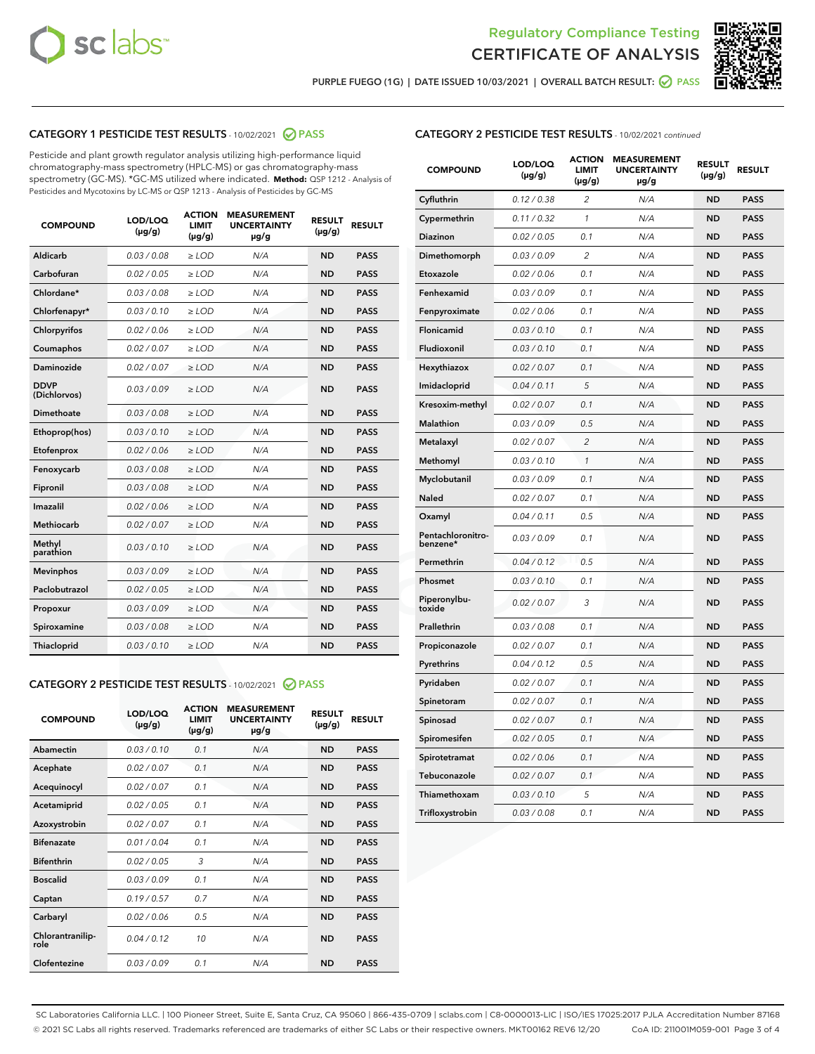



PURPLE FUEGO (1G) | DATE ISSUED 10/03/2021 | OVERALL BATCH RESULT: O PASS

# CATEGORY 1 PESTICIDE TEST RESULTS - 10/02/2021 2 PASS

Pesticide and plant growth regulator analysis utilizing high-performance liquid chromatography-mass spectrometry (HPLC-MS) or gas chromatography-mass spectrometry (GC-MS). \*GC-MS utilized where indicated. **Method:** QSP 1212 - Analysis of Pesticides and Mycotoxins by LC-MS or QSP 1213 - Analysis of Pesticides by GC-MS

| <b>COMPOUND</b>             | LOD/LOQ<br>$(\mu g/g)$ | <b>ACTION</b><br>LIMIT<br>$(\mu g/g)$ | <b>MEASUREMENT</b><br><b>UNCERTAINTY</b><br>$\mu$ g/g | <b>RESULT</b><br>$(\mu g/g)$ | <b>RESULT</b> |
|-----------------------------|------------------------|---------------------------------------|-------------------------------------------------------|------------------------------|---------------|
| Aldicarb                    | 0.03/0.08              | $>$ LOD                               | N/A                                                   | <b>ND</b>                    | <b>PASS</b>   |
| Carbofuran                  | 0.02 / 0.05            | $>$ LOD                               | N/A                                                   | <b>ND</b>                    | <b>PASS</b>   |
| Chlordane*                  | 0.03 / 0.08            | $\ge$ LOD                             | N/A                                                   | <b>ND</b>                    | <b>PASS</b>   |
| Chlorfenapyr*               | 0.03/0.10              | $\ge$ LOD                             | N/A                                                   | <b>ND</b>                    | <b>PASS</b>   |
| Chlorpyrifos                | 0.02 / 0.06            | $\ge$ LOD                             | N/A                                                   | <b>ND</b>                    | <b>PASS</b>   |
| Coumaphos                   | 0.02 / 0.07            | $\ge$ LOD                             | N/A                                                   | <b>ND</b>                    | <b>PASS</b>   |
| Daminozide                  | 0.02 / 0.07            | $\ge$ LOD                             | N/A                                                   | <b>ND</b>                    | <b>PASS</b>   |
| <b>DDVP</b><br>(Dichlorvos) | 0.03/0.09              | $>$ LOD                               | N/A                                                   | <b>ND</b>                    | <b>PASS</b>   |
| Dimethoate                  | 0.03/0.08              | $>$ LOD                               | N/A                                                   | <b>ND</b>                    | <b>PASS</b>   |
| Ethoprop(hos)               | 0.03/0.10              | $\ge$ LOD                             | N/A                                                   | <b>ND</b>                    | <b>PASS</b>   |
| Etofenprox                  | 0.02 / 0.06            | $\ge$ LOD                             | N/A                                                   | <b>ND</b>                    | <b>PASS</b>   |
| Fenoxycarb                  | 0.03/0.08              | $\ge$ LOD                             | N/A                                                   | <b>ND</b>                    | <b>PASS</b>   |
| Fipronil                    | 0.03/0.08              | $\ge$ LOD                             | N/A                                                   | <b>ND</b>                    | <b>PASS</b>   |
| Imazalil                    | 0.02 / 0.06            | $\ge$ LOD                             | N/A                                                   | <b>ND</b>                    | <b>PASS</b>   |
| <b>Methiocarb</b>           | 0.02 / 0.07            | $\ge$ LOD                             | N/A                                                   | <b>ND</b>                    | <b>PASS</b>   |
| Methyl<br>parathion         | 0.03/0.10              | $\ge$ LOD                             | N/A                                                   | <b>ND</b>                    | <b>PASS</b>   |
| <b>Mevinphos</b>            | 0.03/0.09              | $\ge$ LOD                             | N/A                                                   | <b>ND</b>                    | <b>PASS</b>   |
| Paclobutrazol               | 0.02 / 0.05            | $\ge$ LOD                             | N/A                                                   | <b>ND</b>                    | <b>PASS</b>   |
| Propoxur                    | 0.03/0.09              | $\ge$ LOD                             | N/A                                                   | <b>ND</b>                    | <b>PASS</b>   |
| Spiroxamine                 | 0.03/0.08              | $\ge$ LOD                             | N/A                                                   | <b>ND</b>                    | <b>PASS</b>   |
| <b>Thiacloprid</b>          | 0.03/0.10              | $\ge$ LOD                             | N/A                                                   | <b>ND</b>                    | <b>PASS</b>   |
|                             |                        |                                       |                                                       |                              |               |

# CATEGORY 2 PESTICIDE TEST RESULTS - 10/02/2021 @ PASS

| <b>COMPOUND</b>          | LOD/LOQ<br>$(\mu g/g)$ | <b>ACTION</b><br>LIMIT<br>$(\mu g/g)$ | <b>MEASUREMENT</b><br><b>UNCERTAINTY</b><br>$\mu$ g/g | <b>RESULT</b><br>$(\mu g/g)$ | <b>RESULT</b> |
|--------------------------|------------------------|---------------------------------------|-------------------------------------------------------|------------------------------|---------------|
| Abamectin                | 0.03/0.10              | 0.1                                   | N/A                                                   | <b>ND</b>                    | <b>PASS</b>   |
| Acephate                 | 0.02/0.07              | 0.1                                   | N/A                                                   | <b>ND</b>                    | <b>PASS</b>   |
| Acequinocyl              | 0.02/0.07              | 0.1                                   | N/A                                                   | <b>ND</b>                    | <b>PASS</b>   |
| Acetamiprid              | 0.02/0.05              | 0.1                                   | N/A                                                   | <b>ND</b>                    | <b>PASS</b>   |
| Azoxystrobin             | 0.02/0.07              | 0.1                                   | N/A                                                   | <b>ND</b>                    | <b>PASS</b>   |
| <b>Bifenazate</b>        | 0.01/0.04              | 0.1                                   | N/A                                                   | <b>ND</b>                    | <b>PASS</b>   |
| <b>Bifenthrin</b>        | 0.02/0.05              | 3                                     | N/A                                                   | <b>ND</b>                    | <b>PASS</b>   |
| <b>Boscalid</b>          | 0.03/0.09              | 0.1                                   | N/A                                                   | <b>ND</b>                    | <b>PASS</b>   |
| Captan                   | 0.19/0.57              | 0.7                                   | N/A                                                   | <b>ND</b>                    | <b>PASS</b>   |
| Carbaryl                 | 0.02/0.06              | 0.5                                   | N/A                                                   | <b>ND</b>                    | <b>PASS</b>   |
| Chlorantranilip-<br>role | 0.04/0.12              | 10                                    | N/A                                                   | <b>ND</b>                    | <b>PASS</b>   |
| Clofentezine             | 0.03/0.09              | 0.1                                   | N/A                                                   | <b>ND</b>                    | <b>PASS</b>   |

# CATEGORY 2 PESTICIDE TEST RESULTS - 10/02/2021 continued

| <b>COMPOUND</b>               | LOD/LOQ<br>(µg/g) | <b>ACTION</b><br><b>LIMIT</b><br>(µg/g) | <b>MEASUREMENT</b><br><b>UNCERTAINTY</b><br>µg/g | <b>RESULT</b><br>(µg/g) | <b>RESULT</b> |
|-------------------------------|-------------------|-----------------------------------------|--------------------------------------------------|-------------------------|---------------|
| Cyfluthrin                    | 0.12 / 0.38       | $\overline{c}$                          | N/A                                              | <b>ND</b>               | <b>PASS</b>   |
| Cypermethrin                  | 0.11/0.32         | 1                                       | N/A                                              | <b>ND</b>               | <b>PASS</b>   |
| <b>Diazinon</b>               | 0.02 / 0.05       | 0.1                                     | N/A                                              | <b>ND</b>               | <b>PASS</b>   |
| Dimethomorph                  | 0.03 / 0.09       | 2                                       | N/A                                              | <b>ND</b>               | <b>PASS</b>   |
| Etoxazole                     | 0.02 / 0.06       | 0.1                                     | N/A                                              | <b>ND</b>               | <b>PASS</b>   |
| Fenhexamid                    | 0.03 / 0.09       | 0.1                                     | N/A                                              | <b>ND</b>               | <b>PASS</b>   |
| Fenpyroximate                 | 0.02 / 0.06       | 0.1                                     | N/A                                              | <b>ND</b>               | <b>PASS</b>   |
| Flonicamid                    | 0.03/0.10         | 0.1                                     | N/A                                              | <b>ND</b>               | <b>PASS</b>   |
| Fludioxonil                   | 0.03 / 0.10       | 0.1                                     | N/A                                              | <b>ND</b>               | <b>PASS</b>   |
| Hexythiazox                   | 0.02 / 0.07       | 0.1                                     | N/A                                              | <b>ND</b>               | <b>PASS</b>   |
| Imidacloprid                  | 0.04 / 0.11       | 5                                       | N/A                                              | <b>ND</b>               | <b>PASS</b>   |
| Kresoxim-methyl               | 0.02 / 0.07       | 0.1                                     | N/A                                              | <b>ND</b>               | <b>PASS</b>   |
| <b>Malathion</b>              | 0.03 / 0.09       | 0.5                                     | N/A                                              | <b>ND</b>               | <b>PASS</b>   |
| Metalaxyl                     | 0.02 / 0.07       | $\overline{c}$                          | N/A                                              | <b>ND</b>               | <b>PASS</b>   |
| Methomyl                      | 0.03 / 0.10       | 1                                       | N/A                                              | <b>ND</b>               | <b>PASS</b>   |
| Myclobutanil                  | 0.03 / 0.09       | 0.1                                     | N/A                                              | <b>ND</b>               | <b>PASS</b>   |
| Naled                         | 0.02 / 0.07       | 0.1                                     | N/A                                              | <b>ND</b>               | <b>PASS</b>   |
| Oxamyl                        | 0.04 / 0.11       | 0.5                                     | N/A                                              | <b>ND</b>               | <b>PASS</b>   |
| Pentachloronitro-<br>benzene* | 0.03 / 0.09       | 0.1                                     | N/A                                              | <b>ND</b>               | <b>PASS</b>   |
| Permethrin                    | 0.04 / 0.12       | 0.5                                     | N/A                                              | <b>ND</b>               | <b>PASS</b>   |
| Phosmet                       | 0.03 / 0.10       | 0.1                                     | N/A                                              | <b>ND</b>               | <b>PASS</b>   |
| Piperonylbu-<br>toxide        | 0.02 / 0.07       | 3                                       | N/A                                              | <b>ND</b>               | <b>PASS</b>   |
| Prallethrin                   | 0.03 / 0.08       | 0.1                                     | N/A                                              | <b>ND</b>               | <b>PASS</b>   |
| Propiconazole                 | 0.02 / 0.07       | 0.1                                     | N/A                                              | <b>ND</b>               | <b>PASS</b>   |
| Pyrethrins                    | 0.04 / 0.12       | 0.5                                     | N/A                                              | ND                      | <b>PASS</b>   |
| Pyridaben                     | 0.02 / 0.07       | 0.1                                     | N/A                                              | <b>ND</b>               | <b>PASS</b>   |
| Spinetoram                    | 0.02 / 0.07       | 0.1                                     | N/A                                              | <b>ND</b>               | <b>PASS</b>   |
| Spinosad                      | 0.02 / 0.07       | 0.1                                     | N/A                                              | <b>ND</b>               | <b>PASS</b>   |
| Spiromesifen                  | 0.02 / 0.05       | 0.1                                     | N/A                                              | <b>ND</b>               | <b>PASS</b>   |
| Spirotetramat                 | 0.02 / 0.06       | 0.1                                     | N/A                                              | <b>ND</b>               | <b>PASS</b>   |
| Tebuconazole                  | 0.02 / 0.07       | 0.1                                     | N/A                                              | <b>ND</b>               | <b>PASS</b>   |
| Thiamethoxam                  | 0.03 / 0.10       | 5                                       | N/A                                              | <b>ND</b>               | <b>PASS</b>   |
| Trifloxystrobin               | 0.03 / 0.08       | 0.1                                     | N/A                                              | <b>ND</b>               | <b>PASS</b>   |

SC Laboratories California LLC. | 100 Pioneer Street, Suite E, Santa Cruz, CA 95060 | 866-435-0709 | sclabs.com | C8-0000013-LIC | ISO/IES 17025:2017 PJLA Accreditation Number 87168 © 2021 SC Labs all rights reserved. Trademarks referenced are trademarks of either SC Labs or their respective owners. MKT00162 REV6 12/20 CoA ID: 211001M059-001 Page 3 of 4